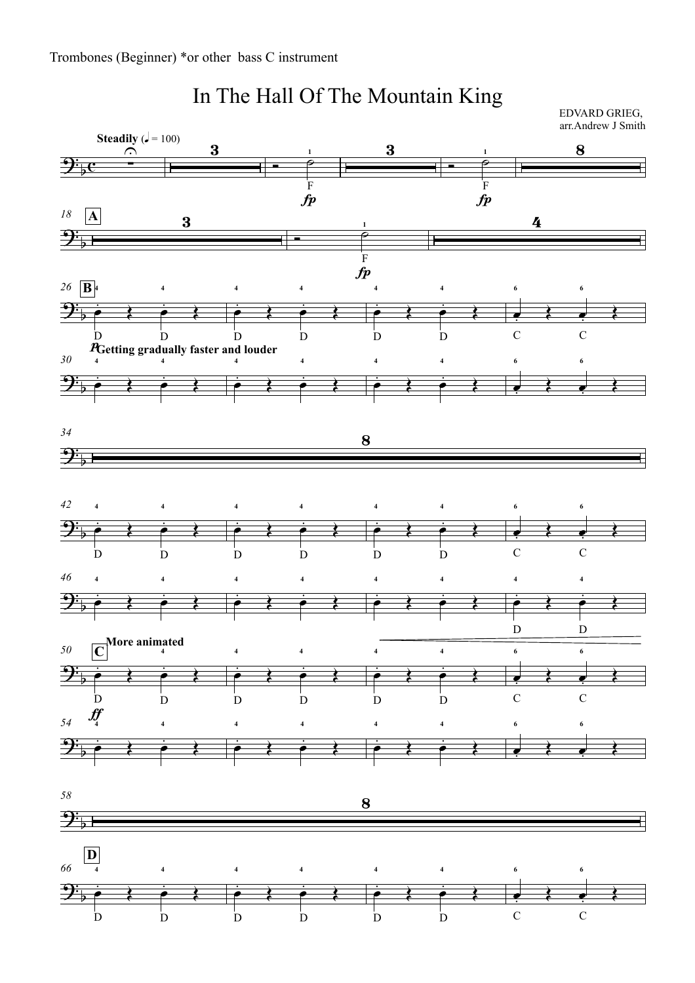

## In The Hall Of The Mountain King